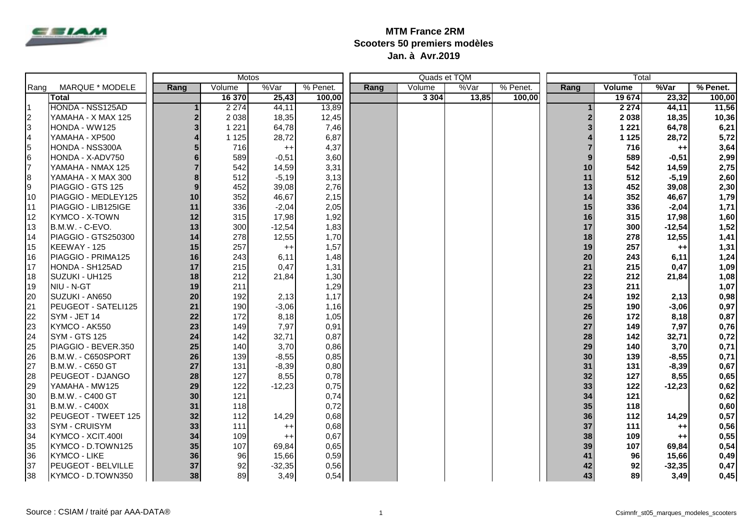

## **MTM France 2RM Scooters 50 premiers modèles Jan. à Avr.2019**

|           |                       | Motos          |         |          |          |      |         | Quads et TQM |          | Total |         |          |          |
|-----------|-----------------------|----------------|---------|----------|----------|------|---------|--------------|----------|-------|---------|----------|----------|
| Rang      | MARQUE * MODELE       | Rang           | Volume  | %Var     | % Penet. | Rang | Volume  | %Var         | % Penet. | Rang  | Volume  | %Var     | % Penet. |
|           | Total                 |                | 16 370  | 25,43    | 100,00   |      | 3 3 0 4 | 13,85        | 100.00   |       | 19 674  | 23,32    | 100,00   |
| l1        | HONDA - NSS125AD      |                | 2 2 7 4 | 44,11    | 13,89    |      |         |              |          |       | 2 2 7 4 | 44,11    | 11,56    |
| $\vert$ 2 | YAMAHA - X MAX 125    | $\overline{2}$ | 2 0 38  | 18,35    | 12,45    |      |         |              |          |       | 2038    | 18,35    | 10,36    |
| 3         | HONDA - WW125         | 3              | 1 2 2 1 | 64,78    | 7,46     |      |         |              |          |       | 1 2 2 1 | 64,78    | 6,21     |
| 4         | YAMAHA - XP500        |                | 1 1 2 5 | 28,72    | 6,87     |      |         |              |          |       | 1 1 2 5 | 28,72    | 5,72     |
| 5         | HONDA - NSS300A       |                | 716     | $^{++}$  | 4,37     |      |         |              |          |       | 716     | $++$     | 3,64     |
| 6         | HONDA - X-ADV750      |                | 589     | $-0,51$  | 3,60     |      |         |              |          |       | 589     | $-0,51$  | 2,99     |
| l7        | YAMAHA - NMAX 125     | $\overline{7}$ | 542     | 14,59    | 3,31     |      |         |              |          | 10    | 542     | 14,59    | 2,75     |
| 8         | YAMAHA - X MAX 300    | 8              | 512     | $-5,19$  | 3,13     |      |         |              |          | 11    | 512     | $-5,19$  | 2,60     |
| l9        | PIAGGIO - GTS 125     | 9              | 452     | 39,08    | 2,76     |      |         |              |          | 13    | 452     | 39,08    | 2,30     |
| 10        | PIAGGIO - MEDLEY125   | 10             | 352     | 46,67    | 2,15     |      |         |              |          | 14    | 352     | 46,67    | 1,79     |
| I11       | PIAGGIO - LIB125IGE   | 11             | 336     | $-2,04$  | 2,05     |      |         |              |          | 15    | 336     | $-2,04$  | 1,71     |
| 12        | <b>KYMCO - X-TOWN</b> | 12             | 315     | 17,98    | 1,92     |      |         |              |          | 16    | 315     | 17,98    | 1,60     |
| 13        | B.M.W. - C-EVO.       | 13             | 300     | $-12,54$ | 1,83     |      |         |              |          | 17    | 300     | $-12,54$ | 1,52     |
| 14        | PIAGGIO - GTS250300   | 14             | 278     | 12,55    | 1,70     |      |         |              |          | 18    | 278     | 12,55    | 1,41     |
| 15        | KEEWAY - 125          | 15             | 257     | $^{++}$  | 1,57     |      |         |              |          | 19    | 257     | $++$     | 1,31     |
| 16        | PIAGGIO - PRIMA125    | 16             | 243     | 6,11     | 1,48     |      |         |              |          | 20    | 243     | 6,11     | 1,24     |
| <b>17</b> | HONDA - SH125AD       | 17             | 215     | 0,47     | 1,31     |      |         |              |          | 21    | 215     | 0,47     | 1,09     |
| 18        | SUZUKI - UH125        | 18             | 212     | 21,84    | 1,30     |      |         |              |          | 22    | 212     | 21,84    | 1,08     |
| 19        | NIU - N-GT            | 19             | 211     |          | 1,29     |      |         |              |          | 23    | 211     |          | 1,07     |
| 20        | SUZUKI - AN650        | 20             | 192     | 2,13     | 1,17     |      |         |              |          | 24    | 192     | 2,13     | 0,98     |
| 21        | PEUGEOT - SATELI125   | 21             | 190     | $-3,06$  | 1,16     |      |         |              |          | 25    | 190     | $-3,06$  | 0,97     |
| 22        | SYM - JET 14          | 22             | 172     | 8,18     | 1,05     |      |         |              |          | 26    | 172     | 8,18     | 0,87     |
| 23        | KYMCO - AK550         | 23             | 149     | 7,97     | 0,91     |      |         |              |          | 27    | 149     | 7,97     | 0,76     |
| 24        | <b>SYM - GTS 125</b>  | 24             | 142     | 32,71    | 0,87     |      |         |              |          | 28    | 142     | 32,71    | 0,72     |
| 25        | PIAGGIO - BEVER.350   | 25             | 140     | 3,70     | 0,86     |      |         |              |          | 29    | 140     | 3,70     | 0,71     |
| 26        | B.M.W. - C650SPORT    | 26             | 139     | $-8,55$  | 0,85     |      |         |              |          | 30    | 139     | $-8,55$  | 0,71     |
| 27        | B.M.W. - C650 GT      | 27             | 131     | $-8,39$  | 0,80     |      |         |              |          | 31    | 131     | $-8,39$  | 0,67     |
| 28        | PEUGEOT - DJANGO      | 28             | 127     | 8,55     | 0,78     |      |         |              |          | 32    | 127     | 8,55     | 0,65     |
| 29        | YAMAHA - MW125        | 29             | 122     | $-12,23$ | 0,75     |      |         |              |          | 33    | 122     | $-12,23$ | 0,62     |
| 30        | B.M.W. - C400 GT      | 30             | 121     |          | 0,74     |      |         |              |          | 34    | 121     |          | 0,62     |
| 31        | B.M.W. - C400X        | 31             | 118     |          | 0,72     |      |         |              |          | 35    | 118     |          | 0,60     |
| 32        | PEUGEOT - TWEET 125   | 32             | 112     | 14,29    | 0,68     |      |         |              |          | 36    | 112     | 14,29    | 0,57     |
| 33        | SYM - CRUISYM         | 33             | 111     | $++$     | 0,68     |      |         |              |          | 37    | 111     | $++$     | 0,56     |
| 34        | KYMCO - XCIT.400I     | 34             | 109     | $^{++}$  | 0,67     |      |         |              |          | 38    | 109     | $++$     | 0,55     |
| 35        | KYMCO - D.TOWN125     | 35             | 107     | 69,84    | 0,65     |      |         |              |          | 39    | 107     | 69,84    | 0,54     |
| 36        | <b>KYMCO - LIKE</b>   | 36             | 96      | 15,66    | 0,59     |      |         |              |          | 41    | 96      | 15,66    | 0,49     |
| 37        | PEUGEOT - BELVILLE    | 37             | 92      | $-32,35$ | 0,56     |      |         |              |          | 42    | 92      | $-32,35$ | 0,47     |
| 38        | KYMCO - D.TOWN350     | 38             | 89      | 3,49     | 0,54     |      |         |              |          | 43    | 89      | 3,49     | 0,45     |